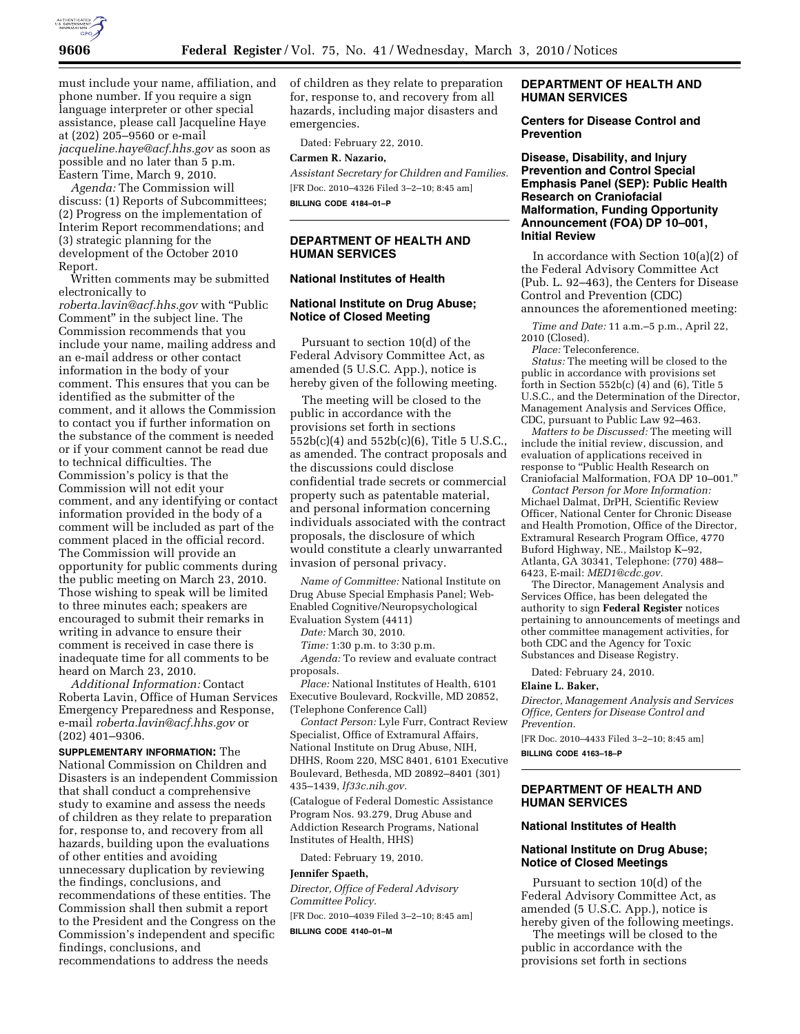

must include your name, affiliation, and phone number. If you require a sign language interpreter or other special assistance, please call Jacqueline Haye at (202) 205–9560 or e-mail *jacqueline.haye@acf.hhs.gov* as soon as possible and no later than 5 p.m. Eastern Time, March 9, 2010.

*Agenda:* The Commission will discuss: (1) Reports of Subcommittees; (2) Progress on the implementation of Interim Report recommendations; and (3) strategic planning for the development of the October 2010 Report.

Written comments may be submitted electronically to

*roberta.lavin@acf.hhs.gov* with ''Public Comment'' in the subject line. The Commission recommends that you include your name, mailing address and an e-mail address or other contact information in the body of your comment. This ensures that you can be identified as the submitter of the comment, and it allows the Commission to contact you if further information on the substance of the comment is needed or if your comment cannot be read due to technical difficulties. The Commission's policy is that the Commission will not edit your comment, and any identifying or contact information provided in the body of a comment will be included as part of the comment placed in the official record. The Commission will provide an opportunity for public comments during the public meeting on March 23, 2010. Those wishing to speak will be limited to three minutes each; speakers are encouraged to submit their remarks in writing in advance to ensure their comment is received in case there is inadequate time for all comments to be heard on March 23, 2010.

*Additional Information:* Contact Roberta Lavin, Office of Human Services Emergency Preparedness and Response, e-mail *roberta.lavin@acf.hhs.gov* or (202) 401–9306.

**SUPPLEMENTARY INFORMATION:** The National Commission on Children and Disasters is an independent Commission that shall conduct a comprehensive study to examine and assess the needs of children as they relate to preparation for, response to, and recovery from all hazards, building upon the evaluations of other entities and avoiding unnecessary duplication by reviewing the findings, conclusions, and recommendations of these entities. The Commission shall then submit a report to the President and the Congress on the Commission's independent and specific findings, conclusions, and recommendations to address the needs

of children as they relate to preparation for, response to, and recovery from all hazards, including major disasters and emergencies.

Dated: February 22, 2010.

### **Carmen R. Nazario,**

*Assistant Secretary for Children and Families.*  [FR Doc. 2010–4326 Filed 3–2–10; 8:45 am] **BILLING CODE 4184–01–P** 

## **DEPARTMENT OF HEALTH AND HUMAN SERVICES**

# **National Institutes of Health**

## **National Institute on Drug Abuse; Notice of Closed Meeting**

Pursuant to section 10(d) of the Federal Advisory Committee Act, as amended (5 U.S.C. App.), notice is hereby given of the following meeting.

The meeting will be closed to the public in accordance with the provisions set forth in sections 552b(c)(4) and 552b(c)(6), Title 5 U.S.C., as amended. The contract proposals and the discussions could disclose confidential trade secrets or commercial property such as patentable material, and personal information concerning individuals associated with the contract proposals, the disclosure of which would constitute a clearly unwarranted invasion of personal privacy.

*Name of Committee:* National Institute on Drug Abuse Special Emphasis Panel; Web-Enabled Cognitive/Neuropsychological Evaluation System (4411)

*Date:* March 30, 2010.

*Time:* 1:30 p.m. to 3:30 p.m.

*Agenda:* To review and evaluate contract proposals.

*Place:* National Institutes of Health, 6101 Executive Boulevard, Rockville, MD 20852, (Telephone Conference Call)

*Contact Person:* Lyle Furr, Contract Review Specialist, Office of Extramural Affairs, National Institute on Drug Abuse, NIH, DHHS, Room 220, MSC 8401, 6101 Executive Boulevard, Bethesda, MD 20892–8401 (301) 435–1439, *lf33c.nih.gov.* 

(Catalogue of Federal Domestic Assistance Program Nos. 93.279, Drug Abuse and Addiction Research Programs, National Institutes of Health, HHS)

Dated: February 19, 2010.

# **Jennifer Spaeth,**

*Director, Office of Federal Advisory Committee Policy.* 

[FR Doc. 2010–4039 Filed 3–2–10; 8:45 am] **BILLING CODE 4140–01–M** 

## **DEPARTMENT OF HEALTH AND HUMAN SERVICES**

### **Centers for Disease Control and Prevention**

**Disease, Disability, and Injury Prevention and Control Special Emphasis Panel (SEP): Public Health Research on Craniofacial Malformation, Funding Opportunity Announcement (FOA) DP 10–001, Initial Review** 

In accordance with Section 10(a)(2) of the Federal Advisory Committee Act (Pub. L. 92–463), the Centers for Disease Control and Prevention (CDC) announces the aforementioned meeting:

*Time and Date:* 11 a.m.–5 p.m., April 22, 2010 (Closed).

*Place:* Teleconference.

*Status:* The meeting will be closed to the public in accordance with provisions set forth in Section  $552b(c)$  (4) and (6), Title 5 U.S.C., and the Determination of the Director, Management Analysis and Services Office, CDC, pursuant to Public Law 92–463.

*Matters to be Discussed:* The meeting will include the initial review, discussion, and evaluation of applications received in response to ''Public Health Research on Craniofacial Malformation, FOA DP 10–001.''

*Contact Person for More Information:*  Michael Dalmat, DrPH, Scientific Review Officer, National Center for Chronic Disease and Health Promotion, Office of the Director, Extramural Research Program Office, 4770 Buford Highway, NE., Mailstop K–92, Atlanta, GA 30341, Telephone: (770) 488– 6423, E-mail: *MED1@cdc.gov.* 

The Director, Management Analysis and Services Office, has been delegated the authority to sign **Federal Register** notices pertaining to announcements of meetings and other committee management activities, for both CDC and the Agency for Toxic Substances and Disease Registry.

Dated: February 24, 2010.

## **Elaine L. Baker,**

*Director, Management Analysis and Services Office, Centers for Disease Control and Prevention.* 

[FR Doc. 2010–4433 Filed 3–2–10; 8:45 am] **BILLING CODE 4163–18–P** 

## **DEPARTMENT OF HEALTH AND HUMAN SERVICES**

#### **National Institutes of Health**

## **National Institute on Drug Abuse; Notice of Closed Meetings**

Pursuant to section 10(d) of the Federal Advisory Committee Act, as amended (5 U.S.C. App.), notice is hereby given of the following meetings.

The meetings will be closed to the public in accordance with the provisions set forth in sections